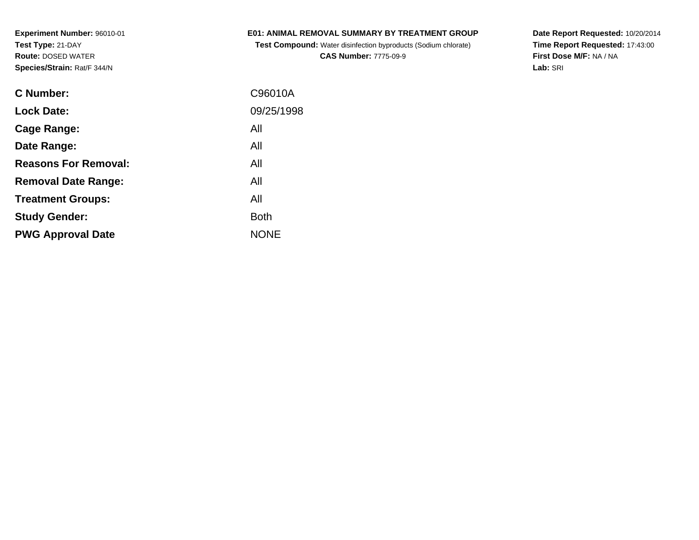### **E01: ANIMAL REMOVAL SUMMARY BY TREATMENT GROUP**

 **Test Compound:** Water disinfection byproducts (Sodium chlorate)**CAS Number:** 7775-09-9

**Date Report Requested:** 10/20/2014 **Time Report Requested:** 17:43:00**First Dose M/F:** NA / NA**Lab:** SRI

| <b>C</b> Number:            | C96010A     |
|-----------------------------|-------------|
| <b>Lock Date:</b>           | 09/25/1998  |
| Cage Range:                 | All         |
| Date Range:                 | All         |
| <b>Reasons For Removal:</b> | All         |
| <b>Removal Date Range:</b>  | All         |
| <b>Treatment Groups:</b>    | All         |
| <b>Study Gender:</b>        | <b>Both</b> |
| <b>PWG Approval Date</b>    | <b>NONE</b> |
|                             |             |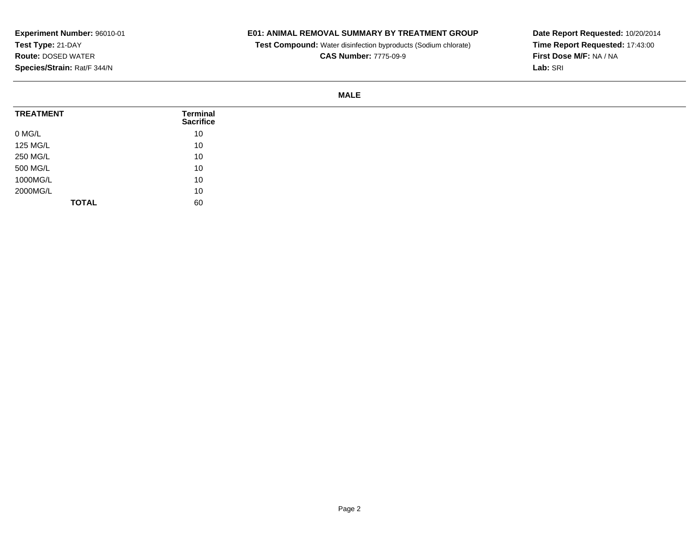## **E01: ANIMAL REMOVAL SUMMARY BY TREATMENT GROUP**

**Test Compound:** Water disinfection byproducts (Sodium chlorate)

**CAS Number:** 7775-09-9

**Date Report Requested:** 10/20/2014 **Time Report Requested:** 17:43:00**First Dose M/F:** NA / NA**Lab:** SRI

#### **MALE**

| <b>TREATMENT</b> | Terminal<br><b>Sacrifice</b> |
|------------------|------------------------------|
| 0 MG/L           | 10                           |
| 125 MG/L         | 10                           |
| 250 MG/L         | 10                           |
| 500 MG/L         | 10                           |
| 1000MG/L         | 10                           |
| 2000MG/L         | 10                           |
| <b>TOTAL</b>     | 60                           |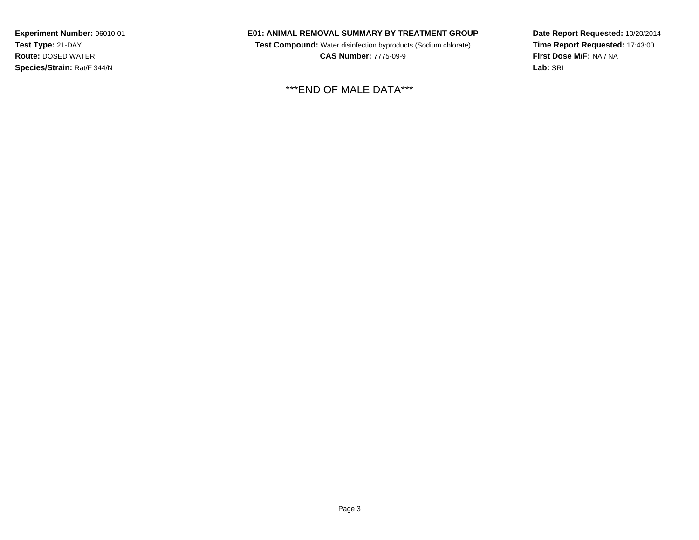#### **E01: ANIMAL REMOVAL SUMMARY BY TREATMENT GROUP**

 **Test Compound:** Water disinfection byproducts (Sodium chlorate) **CAS Number:** 7775-09-9

\*\*\*END OF MALE DATA\*\*\*

**Date Report Requested:** 10/20/2014**Time Report Requested:** 17:43:00**First Dose M/F:** NA / NA**Lab:** SRI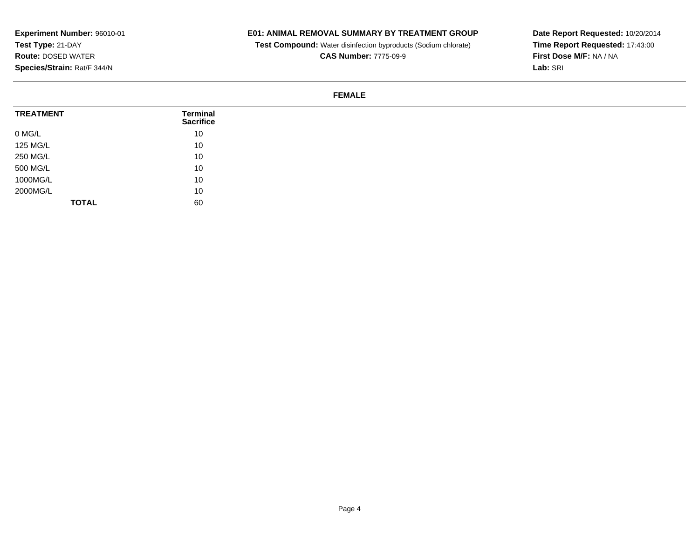## **E01: ANIMAL REMOVAL SUMMARY BY TREATMENT GROUP**

**Test Compound:** Water disinfection byproducts (Sodium chlorate)

**CAS Number:** 7775-09-9

**Date Report Requested:** 10/20/2014 **Time Report Requested:** 17:43:00**First Dose M/F:** NA / NA**Lab:** SRI

#### **FEMALE**

| <b>TREATMENT</b> | <b>Terminal</b><br><b>Sacrifice</b> |
|------------------|-------------------------------------|
| 0 MG/L           | 10                                  |
| 125 MG/L         | 10                                  |
| 250 MG/L         | 10                                  |
| 500 MG/L         | 10                                  |
| 1000MG/L         | 10                                  |
| 2000MG/L         | 10                                  |
| <b>TOTAL</b>     | 60                                  |